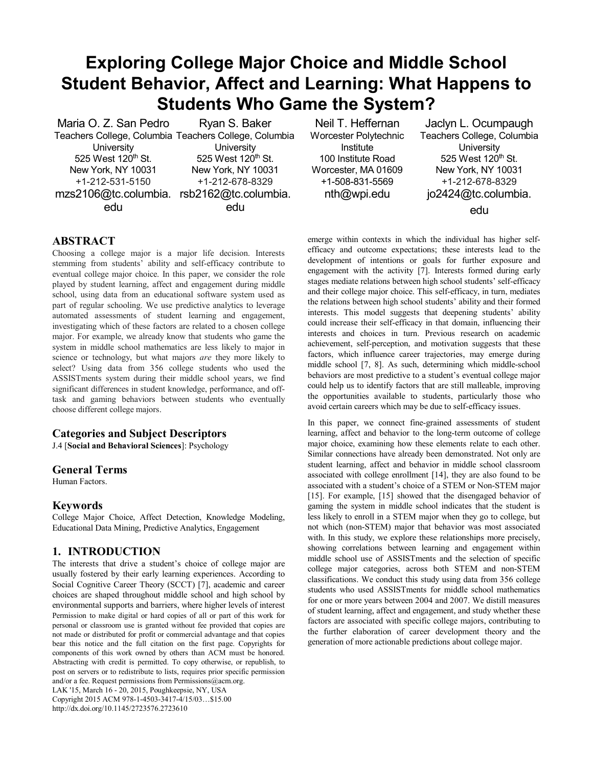# **Exploring College Major Choice and Middle School Student Behavior, Affect and Learning: What Happens to Students Who Game the System?**

Maria O. Z. San Pedro Teachers College, Columbia Teachers College, Columbia **University** 525 West  $120<sup>th</sup>$  St. New York, NY 10031 +1-212-531-5150 mzs2106@tc.columbia. rsb2162@tc.columbia. edu Ryan S. Baker **University** 525 West 120<sup>th</sup> St. New York, NY 10031 +1-212-678-8329 edu

Neil T. Heffernan Worcester Polytechnic Institute 100 Institute Road Worcester, MA 01609 +1-508-831-5569 nth@wpi.edu

Jaclyn L. Ocumpaugh Teachers College, Columbia **University** 525 West 120<sup>th</sup> St. New York, NY 10031 +1-212-678-8329 jo2424@tc.columbia. edu

# **ABSTRACT**

Choosing a college major is a major life decision. Interests stemming from students' ability and self-efficacy contribute to eventual college major choice. In this paper, we consider the role played by student learning, affect and engagement during middle school, using data from an educational software system used as part of regular schooling. We use predictive analytics to leverage automated assessments of student learning and engagement, investigating which of these factors are related to a chosen college major. For example, we already know that students who game the system in middle school mathematics are less likely to major in science or technology, but what majors *are* they more likely to select? Using data from 356 college students who used the ASSISTments system during their middle school years, we find significant differences in student knowledge, performance, and offtask and gaming behaviors between students who eventually choose different college majors.

### **Categories and Subject Descriptors**

J.4 [**Social and Behavioral Sciences**]: Psychology

### **General Terms**

Human Factors.

### **Keywords**

College Major Choice, Affect Detection, Knowledge Modeling, Educational Data Mining, Predictive Analytics, Engagement

### **1. INTRODUCTION**

The interests that drive a student's choice of college major are usually fostered by their early learning experiences. According to Social Cognitive Career Theory (SCCT) [7], academic and career choices are shaped throughout middle school and high school by environmental supports and barriers, where higher levels of interest Permission to make digital or hard copies of all or part of this work for personal or classroom use is granted without fee provided that copies are not made or distributed for profit or commercial advantage and that copies bear this notice and the full citation on the first page. Copyrights for components of this work owned by others than ACM must be honored. Abstracting with credit is permitted. To copy otherwise, or republish, to post on servers or to redistribute to lists, requires prior specific permission and/or a fee. Request permissions from Permissions@acm.org.

LAK '15, March 16 - 20, 2015, Poughkeepsie, NY, USA Copyright 2015 ACM 978-1-4503-3417-4/15/03…\$15.00 http://dx.doi.org/10.1145/2723576.2723610

emerge within contexts in which the individual has higher selfefficacy and outcome expectations; these interests lead to the development of intentions or goals for further exposure and engagement with the activity [7]. Interests formed during early stages mediate relations between high school students' self-efficacy and their college major choice. This self-efficacy, in turn, mediates the relations between high school students' ability and their formed interests. This model suggests that deepening students' ability could increase their self-efficacy in that domain, influencing their interests and choices in turn. Previous research on academic achievement, self-perception, and motivation suggests that these factors, which influence career trajectories, may emerge during middle school [7, 8]. As such, determining which middle-school behaviors are most predictive to a student's eventual college major could help us to identify factors that are still malleable, improving the opportunities available to students, particularly those who avoid certain careers which may be due to self-efficacy issues.

In this paper, we connect fine-grained assessments of student learning, affect and behavior to the long-term outcome of college major choice, examining how these elements relate to each other. Similar connections have already been demonstrated. Not only are student learning, affect and behavior in middle school classroom associated with college enrollment [14], they are also found to be associated with a student's choice of a STEM or Non-STEM major [15]. For example, [15] showed that the disengaged behavior of gaming the system in middle school indicates that the student is less likely to enroll in a STEM major when they go to college, but not which (non-STEM) major that behavior was most associated with. In this study, we explore these relationships more precisely, showing correlations between learning and engagement within middle school use of ASSISTments and the selection of specific college major categories, across both STEM and non-STEM classifications. We conduct this study using data from 356 college students who used ASSISTments for middle school mathematics for one or more years between 2004 and 2007. We distill measures of student learning, affect and engagement, and study whether these factors are associated with specific college majors, contributing to the further elaboration of career development theory and the generation of more actionable predictions about college major.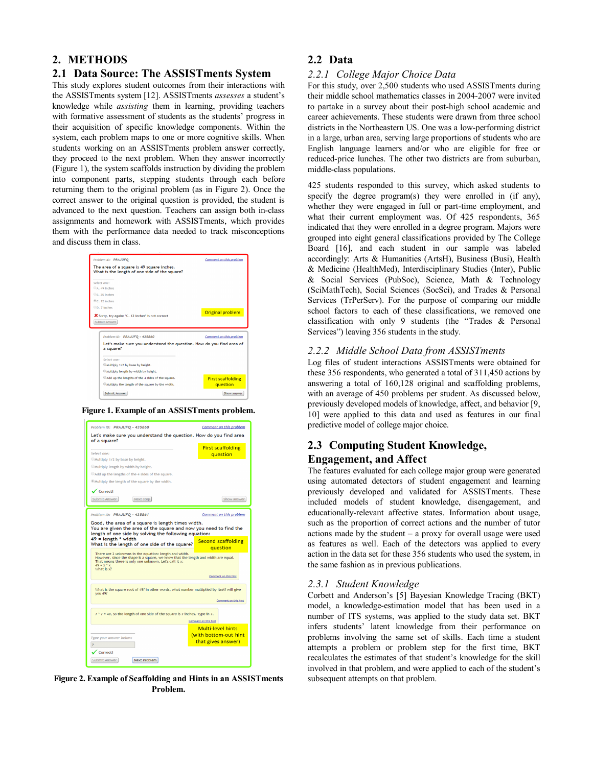# **2. METHODS**

## **2.1 Data Source: The ASSISTments System**

This study explores student outcomes from their interactions with the ASSISTments system [12]. ASSISTments *assesses* a student's knowledge while *assisting* them in learning, providing teachers with formative assessment of students as the students' progress in their acquisition of specific knowledge components. Within the system, each problem maps to one or more cognitive skills. When students working on an ASSISTments problem answer correctly, they proceed to the next problem. When they answer incorrectly (Figure 1), the system scaffolds instruction by dividing the problem into component parts, stepping students through each before returning them to the original problem (as in Figure 2). Once the correct answer to the original question is provided, the student is advanced to the next question. Teachers can assign both in-class assignments and homework with ASSISTments, which provides them with the performance data needed to track misconceptions and discuss them in class.



**Figure 1. Example of an ASSISTments problem.** 



**Figure 2. Example of Scaffolding and Hints in an ASSISTments Problem.**

# **2.2 Data**

### *2.2.1 College Major Choice Data*

For this study, over 2,500 students who used ASSISTments during their middle school mathematics classes in 2004-2007 were invited to partake in a survey about their post-high school academic and career achievements. These students were drawn from three school districts in the Northeastern US. One was a low-performing district in a large, urban area, serving large proportions of students who are English language learners and/or who are eligible for free or reduced-price lunches. The other two districts are from suburban, middle-class populations.

425 students responded to this survey, which asked students to specify the degree program(s) they were enrolled in (if any), whether they were engaged in full or part-time employment, and what their current employment was. Of 425 respondents, 365 indicated that they were enrolled in a degree program. Majors were grouped into eight general classifications provided by The College Board [16], and each student in our sample was labeled accordingly: Arts & Humanities (ArtsH), Business (Busi), Health & Medicine (HealthMed), Interdisciplinary Studies (Inter), Public & Social Services (PubSoc), Science, Math & Technology (SciMathTech), Social Sciences (SocSci), and Trades & Personal Services (TrPerServ). For the purpose of comparing our middle school factors to each of these classifications, we removed one classification with only 9 students (the "Trades & Personal Services") leaving 356 students in the study.

### *2.2.2 Middle School Data from ASSISTments*

Log files of student interactions ASSISTments were obtained for these 356 respondents, who generated a total of 311,450 actions by answering a total of 160,128 original and scaffolding problems, with an average of 450 problems per student. As discussed below, previously developed models of knowledge, affect, and behavior [9, 10] were applied to this data and used as features in our final predictive model of college major choice.

# **2.3 Computing Student Knowledge, Engagement, and Affect**

The features evaluated for each college major group were generated using automated detectors of student engagement and learning previously developed and validated for ASSISTments. These included models of student knowledge, disengagement, and educationally-relevant affective states. Information about usage, such as the proportion of correct actions and the number of tutor actions made by the student – a proxy for overall usage were used as features as well. Each of the detectors was applied to every action in the data set for these 356 students who used the system, in the same fashion as in previous publications.

### *2.3.1 Student Knowledge*

Corbett and Anderson's [5] Bayesian Knowledge Tracing (BKT) model, a knowledge-estimation model that has been used in a number of ITS systems, was applied to the study data set. BKT infers students' latent knowledge from their performance on problems involving the same set of skills. Each time a student attempts a problem or problem step for the first time, BKT recalculates the estimates of that student's knowledge for the skill involved in that problem, and were applied to each of the student's subsequent attempts on that problem.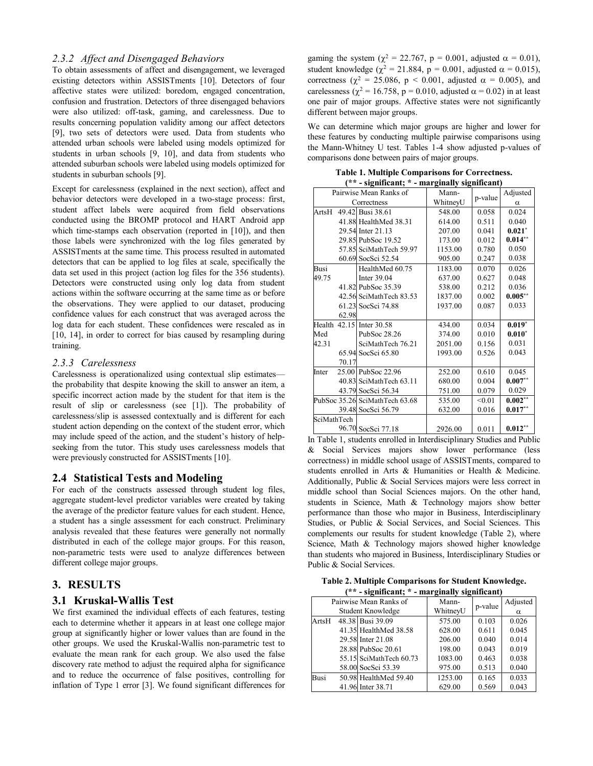### *2.3.2 Affect and Disengaged Behaviors*

To obtain assessments of affect and disengagement, we leveraged existing detectors within ASSISTments [10]. Detectors of four affective states were utilized: boredom, engaged concentration, confusion and frustration. Detectors of three disengaged behaviors were also utilized: off-task, gaming, and carelessness. Due to results concerning population validity among our affect detectors [9], two sets of detectors were used. Data from students who attended urban schools were labeled using models optimized for students in urban schools [9, 10], and data from students who attended suburban schools were labeled using models optimized for students in suburban schools [9].

Except for carelessness (explained in the next section), affect and behavior detectors were developed in a two-stage process: first, student affect labels were acquired from field observations conducted using the BROMP protocol and HART Android app which time-stamps each observation (reported in [10]), and then those labels were synchronized with the log files generated by ASSISTments at the same time. This process resulted in automated detectors that can be applied to log files at scale, specifically the data set used in this project (action log files for the 356 students). Detectors were constructed using only log data from student actions within the software occurring at the same time as or before the observations. They were applied to our dataset, producing confidence values for each construct that was averaged across the log data for each student. These confidences were rescaled as in [10, 14], in order to correct for bias caused by resampling during training.

#### *2.3.3 Carelessness*

Carelessness is operationalized using contextual slip estimates the probability that despite knowing the skill to answer an item, a specific incorrect action made by the student for that item is the result of slip or carelessness (see [1]). The probability of carelessness/slip is assessed contextually and is different for each student action depending on the context of the student error, which may include speed of the action, and the student's history of helpseeking from the tutor. This study uses carelessness models that were previously constructed for ASSISTments [10].

### **2.4 Statistical Tests and Modeling**

For each of the constructs assessed through student log files, aggregate student-level predictor variables were created by taking the average of the predictor feature values for each student. Hence, a student has a single assessment for each construct. Preliminary analysis revealed that these features were generally not normally distributed in each of the college major groups. For this reason, non-parametric tests were used to analyze differences between different college major groups.

### **3. RESULTS**

## **3.1 Kruskal-Wallis Test**

We first examined the individual effects of each features, testing each to determine whether it appears in at least one college major group at significantly higher or lower values than are found in the other groups. We used the Kruskal-Wallis non-parametric test to evaluate the mean rank for each group. We also used the false discovery rate method to adjust the required alpha for significance and to reduce the occurrence of false positives, controlling for inflation of Type 1 error [3]. We found significant differences for

gaming the system ( $\chi^2$  = 22.767, p = 0.001, adjusted  $\alpha$  = 0.01), student knowledge ( $\chi^2$  = 21.884, p = 0.001, adjusted  $\alpha$  = 0.015), correctness ( $\chi^2$  = 25.086, p < 0.001, adjusted  $\alpha$  = 0.005), and carelessness ( $\chi^2$  = 16.758, p = 0.010, adjusted  $\alpha$  = 0.02) in at least one pair of major groups. Affective states were not significantly different between major groups.

We can determine which major groups are higher and lower for these features by conducting multiple pairwise comparisons using the Mann-Whitney U test. Tables 1-4 show adjusted p-values of comparisons done between pairs of major groups.

**Table 1. Multiple Comparisons for Correctness. (\*\* - significant; \* - marginally significant)**

| - зідшисані, — піагдшану зідшисані) |       |                                |          |         |            |
|-------------------------------------|-------|--------------------------------|----------|---------|------------|
| Pairwise Mean Ranks of              |       |                                | Mann-    | p-value | Adjusted   |
|                                     |       | Correctness                    | WhitneyU |         | α          |
| ArtsH                               |       | 49.42 Busi 38.61               | 548.00   | 0.058   | 0.024      |
|                                     |       | 41.88 HealthMed 38.31          | 614.00   | 0.511   | 0.040      |
|                                     |       | 29.54 Inter 21.13              | 207.00   | 0.041   | $0.021*$   |
|                                     |       | 29.85 PubSoc 19.52             | 173.00   | 0.012   | $0.014**$  |
|                                     |       | 57.85 SciMathTech 59.97        | 1153.00  | 0.780   | 0.050      |
|                                     |       | 60.69 SocSci 52.54             | 905.00   | 0.247   | 0.038      |
| Busi                                |       | HealthMed 60.75                | 1183.00  | 0.070   | 0.026      |
| 49.75                               |       | Inter 39.04                    | 637.00   | 0.627   | 0.048      |
|                                     |       | 41.82 PubSoc 35.39             | 538.00   | 0.212   | 0.036      |
|                                     |       | 42.56 SciMathTech 83.53        | 1837.00  | 0.002   | $0.005**$  |
|                                     |       | 61.23 SocSci 74.88             | 1937.00  | 0.087   | 0.033      |
|                                     | 62.98 |                                |          |         |            |
| Health                              |       | 42.15 Inter 30.58              | 434.00   | 0.034   | $0.019*$   |
| Med                                 |       | PubSoc 28.26                   | 374.00   | 0.010   | $0.010*$   |
| 42.31                               |       | SciMathTech 76.21              | 2051.00  | 0.156   | 0.031      |
|                                     |       | 65.94 SocSci 65.80             | 1993.00  | 0.526   | 0.043      |
|                                     | 70.17 |                                |          |         |            |
| Inter                               |       | 25.00 PubSoc 22.96             | 252.00   | 0.610   | 0.045      |
|                                     |       | 40.83 SciMathTech 63.11        | 680.00   | 0.004   | $0.007**$  |
|                                     |       | 43.79 SocSci 56.34             | 751.00   | 0.079   | 0.029      |
|                                     |       | PubSoc 35.26 SciMathTech 63.68 | 535.00   | < 0.01  | $0.002***$ |
|                                     |       | 39.48 SocSci 56.79             | 632.00   | 0.016   | $0.017**$  |
| SciMathTech                         |       |                                |          |         |            |
|                                     |       | 96.70 SocSci 77.18             | 2926.00  | 0.011   | $0.012***$ |

In Table 1, students enrolled in Interdisciplinary Studies and Public & Social Services majors show lower performance (less correctness) in middle school usage of ASSISTments, compared to students enrolled in Arts & Humanities or Health & Medicine. Additionally, Public & Social Services majors were less correct in middle school than Social Sciences majors. On the other hand, students in Science, Math & Technology majors show better performance than those who major in Business, Interdisciplinary Studies, or Public & Social Services, and Social Sciences. This complements our results for student knowledge (Table 2), where Science, Math & Technology majors showed higher knowledge than students who majored in Business, Interdisciplinary Studies or Public & Social Services.

**Table 2. Multiple Comparisons for Student Knowledge. (\*\* - significant; \* - marginally significant)**

|                        | $5 - 1111110011100$<br>$max_{s}$ |                         |          |         |          |  |
|------------------------|----------------------------------|-------------------------|----------|---------|----------|--|
| Pairwise Mean Ranks of |                                  |                         | Mann-    | p-value | Adjusted |  |
| Student Knowledge      |                                  |                         | WhitneyU |         | α        |  |
| ArtsH                  |                                  | 48.38 Busi 39.09        | 575.00   | 0.103   | 0.026    |  |
|                        |                                  | 41.35 HealthMed 38.58   | 628.00   | 0.611   | 0.045    |  |
|                        |                                  | 29.58 Inter 21.08       | 206.00   | 0.040   | 0.014    |  |
|                        |                                  | 28.88 PubSoc 20.61      | 198.00   | 0.043   | 0.019    |  |
|                        |                                  | 55.15 SciMathTech 60.73 | 1083.00  | 0.463   | 0.038    |  |
|                        |                                  | 58.00 SocSci 53.39      | 975.00   | 0.513   | 0.040    |  |
| Busi                   |                                  | 50.98 HealthMed 59.40   | 1253.00  | 0.165   | 0.033    |  |
|                        |                                  | 41.96 Inter 38.71       | 629.00   | 0.569   | 0.043    |  |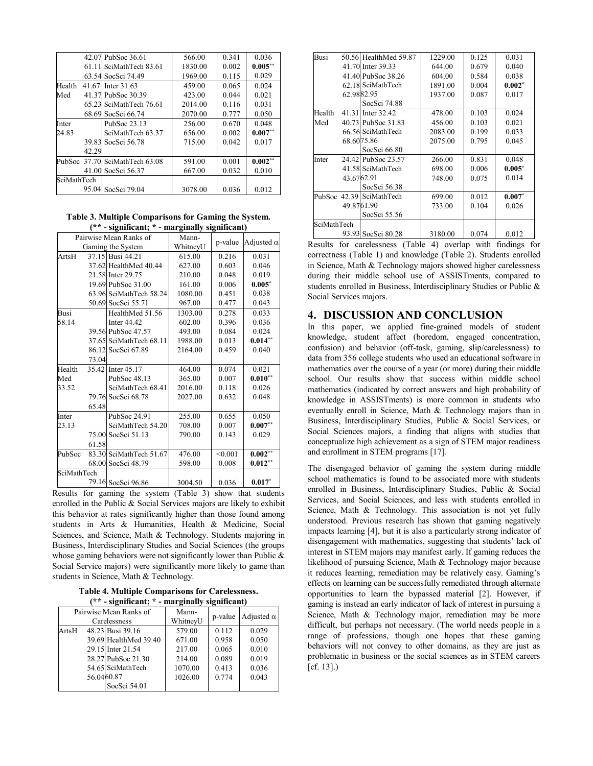|                    |       | 42.07 PubSoc 36.61             | 566.00  | 0.341 | 0.036     |
|--------------------|-------|--------------------------------|---------|-------|-----------|
|                    | 61.11 | SciMathTech 83.61              | 1830.00 | 0.002 | $0.005**$ |
|                    |       | 63.54 SocSci 74.49             | 1969.00 | 0.115 | 0.029     |
| Health             |       | 41.67 Inter 31.63              | 459.00  | 0.065 | 0.024     |
| Med                |       | 41.37 PubSoc 30.39             | 423.00  | 0.044 | 0.021     |
|                    |       | 65.23 SciMathTech 76.61        | 2014.00 | 0.116 | 0.031     |
|                    |       | 68.69 SocSci 66.74             | 2070.00 | 0.777 | 0.050     |
| Inter              |       | PubSoc 23.13                   | 256.00  | 0.670 | 0.048     |
| 24.83              |       | SciMathTech 63.37              | 656.00  | 0.002 | $0.007**$ |
|                    |       | 39.83 SocSci 56.78             | 715.00  | 0.042 | 0.017     |
|                    | 42.29 |                                |         |       |           |
|                    |       | PubSoc 37.70 SciMathTech 63.08 | 591.00  | 0.001 | $0.002**$ |
|                    |       | 41.00 SocSci 56.37             | 667.00  | 0.032 | 0.010     |
| <b>SciMathTech</b> |       |                                |         |       |           |
|                    | 95.04 | SocSci 79.04                   | 3078.00 | 0.036 | 0.012     |

**Table 3. Multiple Comparisons for Gaming the System. (\*\* - significant; \* - marginally significant)**

|             |       | Pairwise Mean Ranks of  | Mann-    | p-value | Adjusted $\alpha$ |
|-------------|-------|-------------------------|----------|---------|-------------------|
|             |       | Gaming the System       | WhitneyU |         |                   |
| ArtsH       |       | 37.15 Busi 44.21        | 615.00   | 0.216   | 0.031             |
|             |       | 37.62 HealthMed 40.44   | 627.00   | 0.603   | 0.046             |
|             |       | 21.58 Inter 29.75       | 210.00   | 0.048   | 0.019             |
|             |       | 19.69 PubSoc 31.00      | 161.00   | 0.006   | $0.005*$          |
|             |       | 63.96 SciMathTech 58.24 | 1080.00  | 0.451   | 0.038             |
|             |       | 50.69 SocSci 55.71      | 967.00   | 0.477   | 0.043             |
| Busi        |       | HealthMed 51.56         | 1303.00  | 0.278   | 0.033             |
| 58.14       |       | Inter 44.42             | 602.00   | 0.396   | 0.036             |
|             |       | 39.56 PubSoc 47.57      | 493.00   | 0.084   | 0.024             |
|             |       | 37.65 SciMathTech 68.11 | 1988.00  | 0.013   | $0.014***$        |
|             |       | 86.12 SocSci 67.89      | 2164.00  | 0.459   | 0.040             |
|             | 73.04 |                         |          |         |                   |
| Health      |       | 35.42 Inter 45.17       | 464.00   | 0.074   | 0.021             |
| Med         |       | PubSoc 48.13            | 365.00   | 0.007   | $0.010**$         |
| 33.52       |       | SciMathTech 68.41       | 2016.00  | 0.118   | 0.026             |
|             |       | 79.76 SocSci 68.78      | 2027.00  | 0.632   | 0.048             |
|             | 65.48 |                         |          |         |                   |
| Inter       |       | PubSoc 24.91            | 255.00   | 0.655   | 0.050             |
| 23.13       |       | SciMathTech 54.20       | 708.00   | 0.007   | $0.007**$         |
|             |       | 75.00 SocSci 51.13      | 790.00   | 0.143   | 0.029             |
|             | 61.58 |                         |          |         |                   |
| PubSoc      |       | 83.30 SciMathTech 51.67 | 476.00   | < 0.001 | $0.002***$        |
|             |       | 68.00 SocSci 48.79      | 598.00   | 0.008   | $0.012**$         |
| SciMathTech |       |                         |          |         |                   |
|             |       | 79.16 SocSci 96.86      | 3004.50  | 0.036   | $0.017*$          |

Results for gaming the system (Table 3) show that students enrolled in the Public & Social Services majors are likely to exhibit this behavior at rates significantly higher than those found among students in Arts & Humanities, Health & Medicine, Social Sciences, and Science, Math & Technology. Students majoring in Business, Interdisciplinary Studies and Social Sciences (the groups whose gaming behaviors were not significantly lower than Public  $\&$ Social Service majors) were significantly more likely to game than students in Science, Math & Technology.

**Table 4. Multiple Comparisons for Carelessness. (\*\* - significant; \* - marginally significant)**

| Pairwise Mean Ranks of<br>Carelessness |            |                       | Mann-<br>WhitneyU | p-value | Adjusted $\alpha$ |
|----------------------------------------|------------|-----------------------|-------------------|---------|-------------------|
| ArtsH                                  |            | 48.23 Busi 39.16      | 579.00            | 0.112   | 0.029             |
|                                        |            | 39.69 HealthMed 39.40 | 671.00            | 0.958   | 0.050             |
|                                        |            | 29.15 Inter 21.54     | 217.00            | 0.065   | 0.010             |
|                                        |            | 28.27 PubSoc 21.30    | 214.00            | 0.089   | 0.019             |
|                                        |            | 54.65 SciMathTech     | 1070.00           | 0.413   | 0.036             |
|                                        | 56.0460.87 |                       | 1026.00           | 0.774   | 0.043             |
|                                        |            | SocSci 54.01          |                   |         |                   |

| <b>Busi</b> |            | 50.56 HealthMed 59.87    | 1229.00 | 0.125 | 0.031    |
|-------------|------------|--------------------------|---------|-------|----------|
|             |            | 41.70 Inter 39.33        | 644.00  | 0.679 | 0.040    |
|             |            | 41.40 PubSoc 38.26       | 604.00  | 0.584 | 0.038    |
|             |            | 62.18 SciMathTech        | 1891.00 | 0.004 | $0.002*$ |
|             |            | 62.9882.95               | 1937.00 | 0.087 | 0.017    |
|             |            | SocSci 74.88             |         |       |          |
| Health      |            | 41.31 Inter 32.42        | 478.00  | 0.103 | 0.024    |
| Med         |            | 40.73 PubSoc 31.83       | 456.00  | 0.103 | 0.021    |
|             |            | 66.56 SciMathTech        | 2083.00 | 0.199 | 0.033    |
|             |            | 68.6075.86               | 2075.00 | 0.795 | 0.045    |
|             |            | SocSci 66.80             |         |       |          |
| Inter       |            | 24.42 PubSoc 23.57       | 266.00  | 0.831 | 0.048    |
|             |            | 41.58 SciMathTech        | 698.00  | 0.006 | $0.005*$ |
|             | 43.6762.91 |                          | 748.00  | 0.075 | 0.014    |
|             |            | SocSci 56.38             |         |       |          |
|             |            | PubSoc 42.39 SciMathTech | 699.00  | 0.012 | $0.007*$ |
|             |            | 49.8761.90               | 733.00  | 0.104 | 0.026    |
|             |            | SocSci 55.56             |         |       |          |
| SciMathTech |            |                          |         |       |          |
|             |            | 93.93 SocSci 80.28       | 3180.00 | 0.074 | 0.012    |

Results for carelessness (Table 4) overlap with findings for correctness (Table 1) and knowledge (Table 2). Students enrolled in Science, Math & Technology majors showed higher carelessness during their middle school use of ASSISTments, compared to students enrolled in Business, Interdisciplinary Studies or Public & Social Services majors.

# **4. DISCUSSION AND CONCLUSION**

In this paper, we applied fine-grained models of student knowledge, student affect (boredom, engaged concentration, confusion) and behavior (off-task, gaming, slip/carelessness) to data from 356 college students who used an educational software in mathematics over the course of a year (or more) during their middle school. Our results show that success within middle school mathematics (indicated by correct answers and high probability of knowledge in ASSISTments) is more common in students who eventually enroll in Science, Math & Technology majors than in Business, Interdisciplinary Studies, Public & Social Services, or Social Sciences majors, a finding that aligns with studies that conceptualize high achievement as a sign of STEM major readiness and enrollment in STEM programs [17].

The disengaged behavior of gaming the system during middle school mathematics is found to be associated more with students enrolled in Business, Interdisciplinary Studies, Public & Social Services, and Social Sciences, and less with students enrolled in Science, Math & Technology. This association is not yet fully understood. Previous research has shown that gaming negatively impacts learning [4], but it is also a particularly strong indicator of disengagement with mathematics, suggesting that students' lack of interest in STEM majors may manifest early. If gaming reduces the likelihood of pursuing Science, Math & Technology major because it reduces learning, remediation may be relatively easy. Gaming's effects on learning can be successfully remediated through alternate opportunities to learn the bypassed material [2]. However, if gaming is instead an early indicator of lack of interest in pursuing a Science, Math & Technology major, remediation may be more difficult, but perhaps not necessary. (The world needs people in a range of professions, though one hopes that these gaming behaviors will not convey to other domains, as they are just as problematic in business or the social sciences as in STEM careers [cf. 13].)